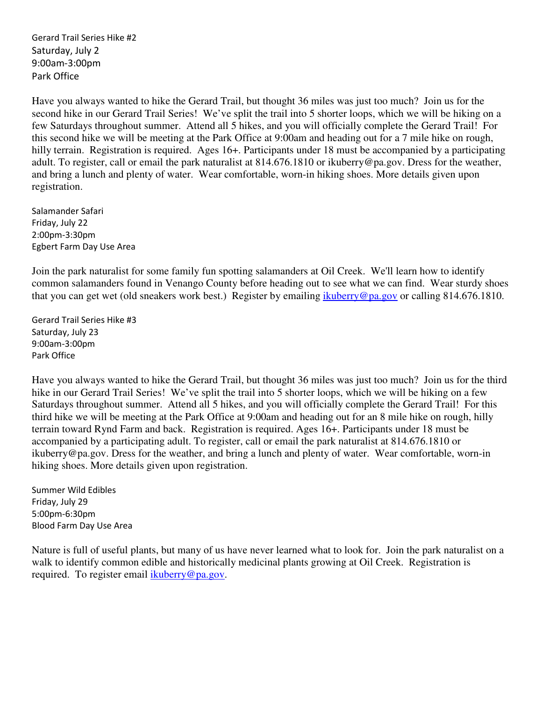Gerard Trail Series Hike #2 Saturday, July 2 9:00am-3:00pm Park Office

Have you always wanted to hike the Gerard Trail, but thought 36 miles was just too much? Join us for the second hike in our Gerard Trail Series! We've split the trail into 5 shorter loops, which we will be hiking on a few Saturdays throughout summer. Attend all 5 hikes, and you will officially complete the Gerard Trail! For this second hike we will be meeting at the Park Office at 9:00am and heading out for a 7 mile hike on rough, hilly terrain. Registration is required. Ages 16+. Participants under 18 must be accompanied by a participating adult. To register, call or email the park naturalist at 814.676.1810 or ikuberry@pa.gov. Dress for the weather, and bring a lunch and plenty of water. Wear comfortable, worn-in hiking shoes. More details given upon registration.

Salamander Safari Friday, July 22 2:00pm-3:30pm Egbert Farm Day Use Area

Join the park naturalist for some family fun spotting salamanders at Oil Creek. We'll learn how to identify common salamanders found in Venango County before heading out to see what we can find. Wear sturdy shoes that you can get wet (old sneakers work best.) Register by emailing ikuberry@pa.gov or calling 814.676.1810.

Gerard Trail Series Hike #3 Saturday, July 23 9:00am-3:00pm Park Office

Have you always wanted to hike the Gerard Trail, but thought 36 miles was just too much? Join us for the third hike in our Gerard Trail Series! We've split the trail into 5 shorter loops, which we will be hiking on a few Saturdays throughout summer. Attend all 5 hikes, and you will officially complete the Gerard Trail! For this third hike we will be meeting at the Park Office at 9:00am and heading out for an 8 mile hike on rough, hilly terrain toward Rynd Farm and back. Registration is required. Ages 16+. Participants under 18 must be accompanied by a participating adult. To register, call or email the park naturalist at 814.676.1810 or ikuberry@pa.gov. Dress for the weather, and bring a lunch and plenty of water. Wear comfortable, worn-in hiking shoes. More details given upon registration.

Summer Wild Edibles Friday, July 29 5:00pm-6:30pm Blood Farm Day Use Area

Nature is full of useful plants, but many of us have never learned what to look for. Join the park naturalist on a walk to identify common edible and historically medicinal plants growing at Oil Creek. Registration is required. To register email ikuberry@pa.gov.